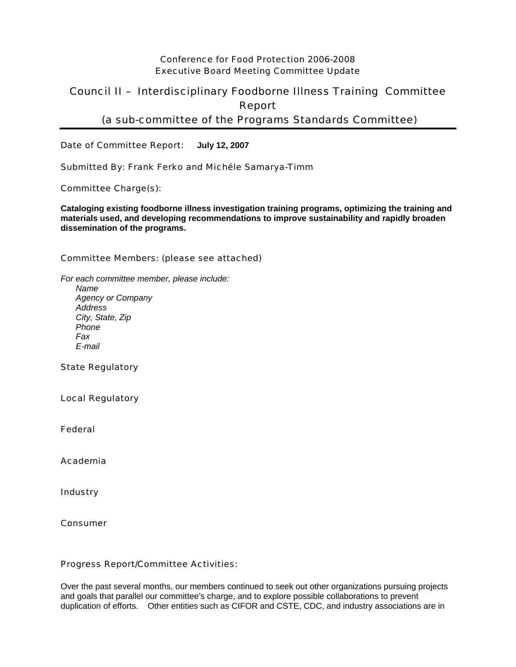## Conference for Food Protection 2006-2008 Executive Board Meeting Committee Update

## Council II – Interdisciplinary Foodborne Illness Training Committee Report (a sub-committee of the Programs Standards Committee)

Date of Committee Report: **July 12, 2007**

Submitted By: Frank Ferko and Michéle Samarya-Timm

Committee Charge(s):

**Cataloging existing foodborne illness investigation training programs, optimizing the training and materials used, and developing recommendations to improve sustainability and rapidly broaden dissemination of the programs.** 

## Committee Members: (please see attached)

*For each committee member, please include: Name Agency or Company Address City, State, Zip Phone Fax E-mail* 

State Regulatory

Local Regulatory

Federal

Academia

**Industry** 

Consumer

## Progress Report/Committee Activities:

Over the past several months, our members continued to seek out other organizations pursuing projects and goals that parallel our committee's charge, and to explore possible collaborations to prevent duplication of efforts. Other entities such as CIFOR and CSTE, CDC, and industry associations are in